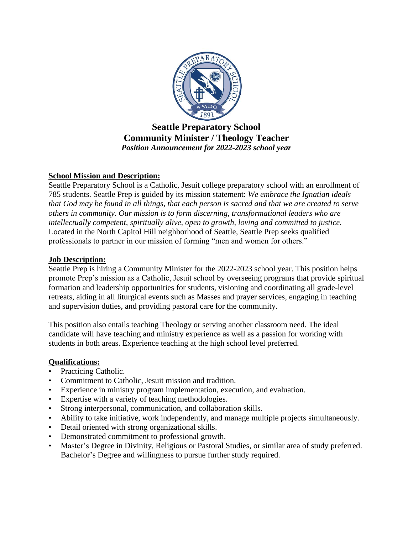

# **Seattle Preparatory School Community Minister / Theology Teacher** *Position Announcement for 2022-2023 school year*

## **School Mission and Description:**

Seattle Preparatory School is a Catholic, Jesuit college preparatory school with an enrollment of 785 students. Seattle Prep is guided by its mission statement: *We embrace the Ignatian ideals that God may be found in all things, that each person is sacred and that we are created to serve others in community. Our mission is to form discerning, transformational leaders who are intellectually competent, spiritually alive, open to growth, loving and committed to justice.* Located in the North Capitol Hill neighborhood of Seattle, Seattle Prep seeks qualified professionals to partner in our mission of forming "men and women for others."

## **Job Description:**

Seattle Prep is hiring a Community Minister for the 2022-2023 school year. This position helps promote Prep's mission as a Catholic, Jesuit school by overseeing programs that provide spiritual formation and leadership opportunities for students, visioning and coordinating all grade-level retreats, aiding in all liturgical events such as Masses and prayer services, engaging in teaching and supervision duties, and providing pastoral care for the community.

This position also entails teaching Theology or serving another classroom need. The ideal candidate will have teaching and ministry experience as well as a passion for working with students in both areas. Experience teaching at the high school level preferred.

#### **Qualifications:**

- Practicing Catholic.
- Commitment to Catholic, Jesuit mission and tradition.
- Experience in ministry program implementation, execution, and evaluation.
- Expertise with a variety of teaching methodologies.
- Strong interpersonal, communication, and collaboration skills.
- Ability to take initiative, work independently, and manage multiple projects simultaneously.
- Detail oriented with strong organizational skills.
- Demonstrated commitment to professional growth.
- Master's Degree in Divinity, Religious or Pastoral Studies, or similar area of study preferred. Bachelor's Degree and willingness to pursue further study required.